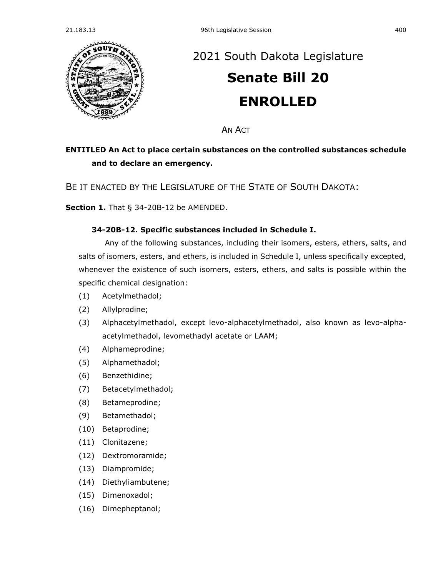

# [2021 South Dakota Legislature](https://sdlegislature.gov/Session/Bills/44) **[Senate Bill 20](https://sdlegislature.gov/Session/Bill/21902)**

**ENROLLED**

**AN ACT** 

## **ENTITLED An Act to place certain substances on the controlled substances schedule and to declare an emergency.**

BE IT ENACTED BY THE LEGISLATURE OF THE STATE OF SOUTH DAKOTA:

**Section 1.** [That § 34-20B-12 be AMENDED.](https://sdlegislature.gov/Statutes/Codified_Laws/DisplayStatute.aspx?Type=Statute&Statute=34-20B-12)

### **[34-20B-12. S](https://sdlegislature.gov/Statutes/Codified_Laws/DisplayStatute.aspx?Type=Statute&Statute=34-20B-12)pecific substances included in Schedule I.**

Any of the following substances, including their isomers, esters, ethers, salts, and salts of isomers, esters, and ethers, is included in Schedule I, unless specifically excepted, whenever the existence of such isomers, esters, ethers, and salts is possible within the specific chemical designation:

- (1) Acetylmethadol;
- (2) Allylprodine;
- (3) Alphacetylmethadol, except levo-alphacetylmethadol, also known as levo-alphaacetylmethadol, levomethadyl acetate or LAAM;
- (4) Alphameprodine;
- (5) Alphamethadol;
- (6) Benzethidine;
- (7) Betacetylmethadol;
- (8) Betameprodine;
- (9) Betamethadol;
- (10) Betaprodine;
- (11) Clonitazene;
- (12) Dextromoramide;
- (13) Diampromide;
- (14) Diethyliambutene;
- (15) Dimenoxadol;
- (16) Dimepheptanol;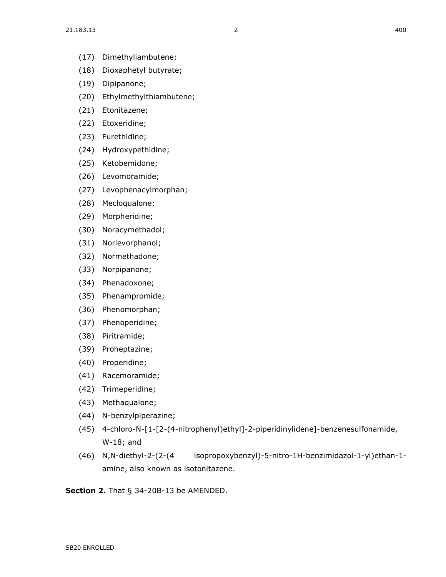- (17) Dimethyliambutene;
- (18) Dioxaphetyl butyrate;
- (19) Dipipanone;
- (20) Ethylmethylthiambutene;
- (21) Etonitazene;
- (22) Etoxeridine;
- (23) Furethidine;
- (24) Hydroxypethidine;
- (25) Ketobemidone;
- (26) Levomoramide;
- (27) Levophenacylmorphan;
- (28) Mecloqualone;
- (29) Morpheridine;
- (30) Noracymethadol;
- (31) Norlevorphanol;
- (32) Normethadone;
- (33) Norpipanone;
- (34) Phenadoxone;
- (35) Phenampromide;
- (36) Phenomorphan;
- (37) Phenoperidine;
- (38) Piritramide;
- (39) Proheptazine;
- (40) Properidine;
- (41) Racemoramide;
- (42) Trimeperidine;
- (43) Methaqualone;
- (44) N-benzylpiperazine;
- (45) 4-chloro-N-[1-[2-(4-nitrophenyl)ethyl]-2-piperidinylidene]-benzenesulfonamide, W-18; and
- (46) N,N-diethyl-2-(2-(4 isopropoxybenzyl)-5-nitro-1H-benzimidazol-1-yl)ethan-1 amine, also known as isotonitazene.

**Section 2.** [That § 34-20B-13 be AMENDED.](https://sdlegislature.gov/Statutes/Codified_Laws/DisplayStatute.aspx?Type=Statute&Statute=34-20B-13)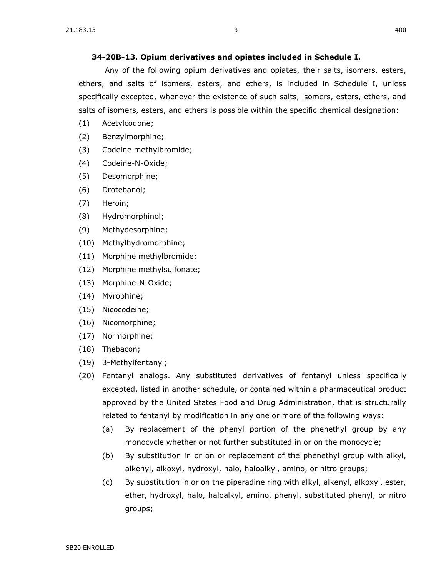#### **[34-20B-13. O](https://sdlegislature.gov/Statutes/Codified_Laws/DisplayStatute.aspx?Type=Statute&Statute=34-20B-13)pium derivatives and opiates included in Schedule I.**

Any of the following opium derivatives and opiates, their salts, isomers, esters, ethers, and salts of isomers, esters, and ethers, is included in Schedule I, unless specifically excepted, whenever the existence of such salts, isomers, esters, ethers, and salts of isomers, esters, and ethers is possible within the specific chemical designation:

- (1) Acetylcodone;
- (2) Benzylmorphine;
- (3) Codeine methylbromide;
- (4) Codeine-N-Oxide;
- (5) Desomorphine;
- (6) Drotebanol;
- (7) Heroin;
- (8) Hydromorphinol;
- (9) Methydesorphine;
- (10) Methylhydromorphine;
- (11) Morphine methylbromide;
- (12) Morphine methylsulfonate;
- (13) Morphine-N-Oxide;
- (14) Myrophine;
- (15) Nicocodeine;
- (16) Nicomorphine;
- (17) Normorphine;
- (18) Thebacon;
- (19) 3-Methylfentanyl;
- (20) Fentanyl analogs. Any substituted derivatives of fentanyl unless specifically excepted, listed in another schedule, or contained within a pharmaceutical product approved by the United States Food and Drug Administration, that is structurally related to fentanyl by modification in any one or more of the following ways:
	- (a) By replacement of the phenyl portion of the phenethyl group by any monocycle whether or not further substituted in or on the monocycle;
	- (b) By substitution in or on or replacement of the phenethyl group with alkyl, alkenyl, alkoxyl, hydroxyl, halo, haloalkyl, amino, or nitro groups;
	- (c) By substitution in or on the piperadine ring with alkyl, alkenyl, alkoxyl, ester, ether, hydroxyl, halo, haloalkyl, amino, phenyl, substituted phenyl, or nitro groups;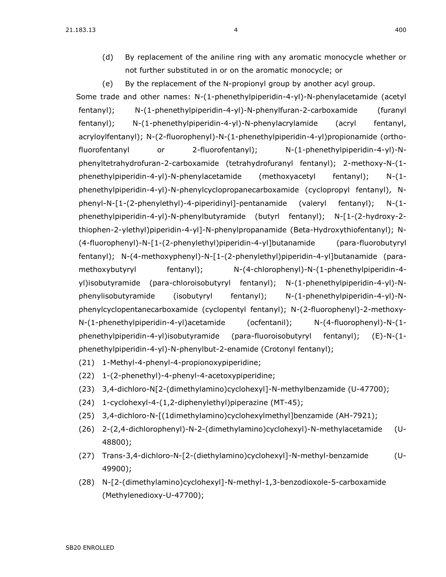$21.183.13$   $4$ 

(d) By replacement of the aniline ring with any aromatic monocycle whether or not further substituted in or on the aromatic monocycle; or

(e) By the replacement of the N-propionyl group by another acyl group. Some trade and other names: N-(1-phenethylpiperidin-4-yl)-N-phenylacetamide (acetyl fentanyl); N-(1-phenethylpiperidin-4-yl)-N-phenylfuran-2-carboxamide (furanyl fentanyl); N-(1-phenethylpiperidin-4-yl)-N-phenylacrylamide (acryl fentanyl, acryloylfentanyl); N-(2-fluorophenyl)-N-(1-phenethylpiperidin-4-yl)propionamide (orthofluorofentanyl or 2-fluorofentanyl); N-(1-phenethylpiperidin-4-yl)-Nphenyltetrahydrofuran-2-carboxamide (tetrahydrofuranyl fentanyl); 2-methoxy-N-(1 phenethylpiperidin-4-yl)-N-phenylacetamide (methoxyacetyl fentanyl); N-(1 phenethylpiperidin-4-yl)-N-phenylcyclopropanecarboxamide (cyclopropyl fentanyl), Nphenyl-N-[1-(2-phenylethyl)-4-piperidinyl]-pentanamide (valeryl fentanyl); N-(1 phenethylpiperidin-4-yl)-N-phenylbutyramide (butyrl fentanyl); N-[1-(2-hydroxy-2 thiophen-2-ylethyl)piperidin-4-yl]-N-phenylpropanamide (Beta-Hydroxythiofentanyl); N- (4-fluorophenyl)-N-[1-(2-phenylethyl)piperidin-4-yl]butanamide (para-fluorobutyryl fentanyl); N-(4-methoxyphenyl)-N-[1-(2-phenylethyl)piperidin-4-yl]butanamide (paramethoxybutyryl fentanyl);  $N-(4$ -chlorophenyl)-N-(1-phenethylpiperidin-4yl)isobutyramide (para-chloroisobutyryl fentanyl); N-(1-phenethylpiperidin-4-yl)-Nphenylisobutyramide (isobutyryl fentanyl); N-(1-phenethylpiperidin-4-yl)-Nphenylcyclopentanecarboxamide (cyclopentyl fentanyl); N-(2-fluorophenyl)-2-methoxy-N-(1-phenethylpiperidin-4-yl)acetamide (ocfentanil); N-(4-fluorophenyl)-N-(1 phenethylpiperidin-4-yl)isobutyramide (para-fluoroisobutyryl fentanyl); (E)-N-(1 phenethylpiperidin-4-yl)-N-phenylbut-2-enamide (Crotonyl fentanyl);

- (21) 1-Methyl-4-phenyl-4-propionoxypiperidine;
- (22) 1-(2-phenethyl)-4-phenyl-4-acetoxypiperidine;
- (23) 3,4-dichloro-N[2-(dimethylamino)cyclohexyl]-N-methylbenzamide (U-47700);
- (24) 1-cyclohexyl-4-(1,2-diphenylethyl)piperazine (MT-45);
- (25) 3,4-dichloro-N-[(1dimethylamino)cyclohexylmethyl]benzamide (AH-7921);
- (26) 2-(2,4-dichlorophenyl)-N-2-(dimethylamino)cyclohexyl)-N-methylacetamide (U-48800);
- (27) Trans-3,4-dichloro-N-[2-(diethylamino)cyclohexyl]-N-methyl-benzamide (U-49900);
- (28) N-[2-(dimethylamino)cyclohexyl]-N-methyl-1,3-benzodioxole-5-carboxamide (Methylenedioxy-U-47700);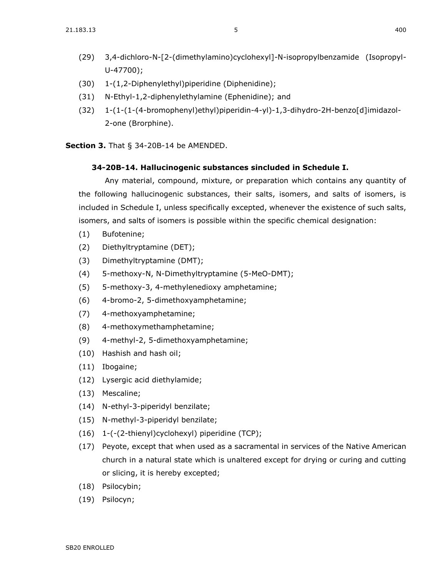- (30) 1-(1,2-Diphenylethyl)piperidine (Diphenidine);
- (31) N-Ethyl-1,2-diphenylethylamine (Ephenidine); and
- (32) 1-(1-(1-(4-bromophenyl)ethyl)piperidin-4-yl)-1,3-dihydro-2H-benzo[d]imidazol-2-one (Brorphine).

**Section 3.** [That § 34-20B-14 be AMENDED.](https://sdlegislature.gov/Statutes/Codified_Laws/DisplayStatute.aspx?Type=Statute&Statute=34-20B-14)

U-47700);

### **[34-20B-14. H](https://sdlegislature.gov/Statutes/Codified_Laws/DisplayStatute.aspx?Type=Statute&Statute=34-20B-14)allucinogenic substances sincluded in Schedule I.**

Any material, compound, mixture, or preparation which contains any quantity of the following hallucinogenic substances, their salts, isomers, and salts of isomers, is included in Schedule I, unless specifically excepted, whenever the existence of such salts, isomers, and salts of isomers is possible within the specific chemical designation:

- (1) Bufotenine;
- (2) Diethyltryptamine (DET);
- (3) Dimethyltryptamine (DMT);
- (4) 5-methoxy-N, N-Dimethyltryptamine (5-MeO-DMT);
- (5) 5-methoxy-3, 4-methylenedioxy amphetamine;
- (6) 4-bromo-2, 5-dimethoxyamphetamine;
- (7) 4-methoxyamphetamine;
- (8) 4-methoxymethamphetamine;
- (9) 4-methyl-2, 5-dimethoxyamphetamine;
- (10) Hashish and hash oil;
- (11) Ibogaine;
- (12) Lysergic acid diethylamide;
- (13) Mescaline;
- (14) N-ethyl-3-piperidyl benzilate;
- (15) N-methyl-3-piperidyl benzilate;
- (16) 1-(-(2-thienyl)cyclohexyl) piperidine (TCP);
- (17) Peyote, except that when used as a sacramental in services of the Native American church in a natural state which is unaltered except for drying or curing and cutting or slicing, it is hereby excepted;
- (18) Psilocybin;
- (19) Psilocyn;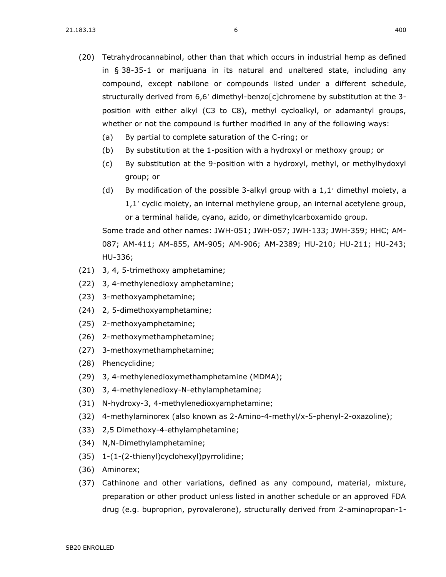- (20) Tetrahydrocannabinol, other than that which occurs in industrial hemp as defined in § [38-35-1](https://sdlegislature.gov/Statutes/Codified_Laws/DisplayStatute.aspx?Type=Statute&Statute=38-35-1) or marijuana in its natural and unaltered state, including any compound, except nabilone or compounds listed under a different schedule, structurally derived from 6,6' dimethyl-benzo[c]chromene by substitution at the 3position with either alkyl (C3 to C8), methyl cycloalkyl, or adamantyl groups, whether or not the compound is further modified in any of the following ways:
	- (a) By partial to complete saturation of the C-ring; or
	- (b) By substitution at the 1-position with a hydroxyl or methoxy group; or
	- (c) By substitution at the 9-position with a hydroxyl, methyl, or methylhydoxyl group; or
	- (d) By modification of the possible 3-alkyl group with a  $1,1'$  dimethyl moiety, a 1,1 cyclic moiety, an internal methylene group, an internal acetylene group, or a terminal halide, cyano, azido, or dimethylcarboxamido group.

Some trade and other names: JWH-051; JWH-057; JWH-133; JWH-359; HHC; AM-087; AM-411; AM-855, AM-905; AM-906; AM-2389; HU-210; HU-211; HU-243; HU-336;

- (21) 3, 4, 5-trimethoxy amphetamine;
- (22) 3, 4-methylenedioxy amphetamine;
- (23) 3-methoxyamphetamine;
- (24) 2, 5-dimethoxyamphetamine;
- (25) 2-methoxyamphetamine;
- (26) 2-methoxymethamphetamine;
- (27) 3-methoxymethamphetamine;
- (28) Phencyclidine;
- (29) 3, 4-methylenedioxymethamphetamine (MDMA);
- (30) 3, 4-methylenedioxy-N-ethylamphetamine;
- (31) N-hydroxy-3, 4-methylenedioxyamphetamine;
- (32) 4-methylaminorex (also known as 2-Amino-4-methyl/x-5-phenyl-2-oxazoline);
- (33) 2,5 Dimethoxy-4-ethylamphetamine;
- (34) N,N-Dimethylamphetamine;
- (35) 1-(1-(2-thienyl)cyclohexyl)pyrrolidine;
- (36) Aminorex;
- (37) Cathinone and other variations, defined as any compound, material, mixture, preparation or other product unless listed in another schedule or an approved FDA drug (e.g. buproprion, pyrovalerone), structurally derived from 2-aminopropan-1-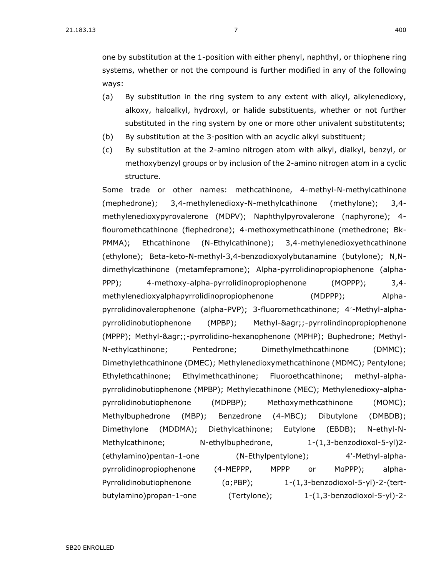one by substitution at the 1-position with either phenyl, naphthyl, or thiophene ring systems, whether or not the compound is further modified in any of the following ways:

- (a) By substitution in the ring system to any extent with alkyl, alkylenedioxy, alkoxy, haloalkyl, hydroxyl, or halide substituents, whether or not further substituted in the ring system by one or more other univalent substitutents;
- (b) By substitution at the 3-position with an acyclic alkyl substituent;
- (c) By substitution at the 2-amino nitrogen atom with alkyl, dialkyl, benzyl, or methoxybenzyl groups or by inclusion of the 2-amino nitrogen atom in a cyclic structure.

Some trade or other names: methcathinone, 4-methyl-N-methylcathinone (mephedrone); 3,4-methylenedioxy-N-methylcathinone (methylone); 3,4 methylenedioxypyrovalerone (MDPV); Naphthylpyrovalerone (naphyrone); 4 flouromethcathinone (flephedrone); 4-methoxymethcathinone (methedrone; Bk-PMMA); Ethcathinone (N-Ethylcathinone); 3,4-methylenedioxyethcathinone (ethylone); Beta-keto-N-methyl-3,4-benzodioxyolybutanamine (butylone); N,Ndimethylcathinone (metamfepramone); Alpha-pyrrolidinopropiophenone (alpha-PPP); 4-methoxy-alpha-pyrrolidinopropiophenone (MOPPP); 3,4 methylenedioxyalphapyrrolidinopropiophenone (MDPPP); Alphapyrrolidinovalerophenone (alpha-PVP); 3-fluoromethcathinone; 4'-Methyl-alphapyrrolidinobutiophenone (MPBP); Methyl-&agr;;-pyrrolindinopropiophenone (MPPP); Methyl-&agr;;-pyrrolidino-hexanophenone (MPHP); Buphedrone; Methyl-N-ethylcathinone; Pentedrone; Dimethylmethcathinone (DMMC); Dimethylethcathinone (DMEC); Methylenedioxymethcathinone (MDMC); Pentylone; Ethylethcathinone; Ethylmethcathinone; Fluoroethcathinone; methyl-alphapyrrolidinobutiophenone (MPBP); Methylecathinone (MEC); Methylenedioxy-alphapyrrolidinobutiophenone (MDPBP); Methoxymethcathinone (MOMC); Methylbuphedrone (MBP); Benzedrone (4-MBC); Dibutylone (DMBDB); Dimethylone (MDDMA); Diethylcathinone; Eutylone (EBDB); N-ethyl-N-Methylcathinone; N-ethylbuphedrone, 1-(1,3-benzodioxol-5-yl)2- (ethylamino)pentan-1-one (N-Ethylpentylone); 4'-Methyl-alphapyrrolidinopropiophenone (4-MEPPP, MPPP or MαPPP); alpha-Pyrrolidinobutiophenone (α;PBP); 1-(1,3-benzodioxol-5-yl)-2-(tertbutylamino)propan-1-one (Tertylone); 1-(1,3-benzodioxol-5-yl)-2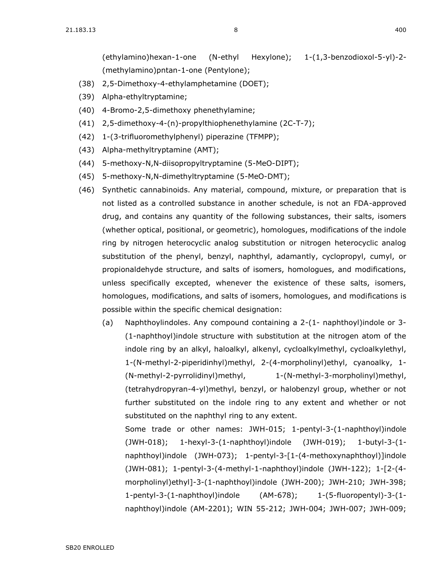(ethylamino)hexan-1-one (N-ethyl Hexylone); 1-(1,3-benzodioxol-5-yl)-2- (methylamino)pntan-1-one (Pentylone);

- (38) 2,5-Dimethoxy-4-ethylamphetamine (DOET);
- (39) Alpha-ethyltryptamine;
- (40) 4-Bromo-2,5-dimethoxy phenethylamine;
- (41) 2,5-dimethoxy-4-(n)-propylthiophenethylamine (2C-T-7);
- (42) 1-(3-trifluoromethylphenyl) piperazine (TFMPP);
- (43) Alpha-methyltryptamine (AMT);
- (44) 5-methoxy-N,N-diisopropyltryptamine (5-MeO-DIPT);
- (45) 5-methoxy-N,N-dimethyltryptamine (5-MeO-DMT);
- (46) Synthetic cannabinoids. Any material, compound, mixture, or preparation that is not listed as a controlled substance in another schedule, is not an FDA-approved drug, and contains any quantity of the following substances, their salts, isomers (whether optical, positional, or geometric), homologues, modifications of the indole ring by nitrogen heterocyclic analog substitution or nitrogen heterocyclic analog substitution of the phenyl, benzyl, naphthyl, adamantly, cyclopropyl, cumyl, or propionaldehyde structure, and salts of isomers, homologues, and modifications, unless specifically excepted, whenever the existence of these salts, isomers, homologues, modifications, and salts of isomers, homologues, and modifications is possible within the specific chemical designation:
	- (a) Naphthoylindoles. Any compound containing a 2-(1- naphthoyl)indole or 3- (1-naphthoyl)indole structure with substitution at the nitrogen atom of the indole ring by an alkyl, haloalkyl, alkenyl, cycloalkylmethyl, cycloalkylethyl, 1-(N-methyl-2-piperidinhyl)methyl, 2-(4-morpholinyl)ethyl, cyanoalky, 1- (N-methyl-2-pyrrolidinyl)methyl, 1-(N-methyl-3-morpholinyl)methyl, (tetrahydropyran-4-yl)methyl, benzyl, or halobenzyl group, whether or not further substituted on the indole ring to any extent and whether or not substituted on the naphthyl ring to any extent.

Some trade or other names: JWH-015; 1-pentyl-3-(1-naphthoyl)indole (JWH-018); 1-hexyl-3-(1-naphthoyl)indole (JWH-019); 1-butyl-3-(1 naphthoyl)indole (JWH-073); 1-pentyl-3-[1-(4-methoxynaphthoyl)]indole (JWH-081); 1-pentyl-3-(4-methyl-1-naphthoyl)indole (JWH-122); 1-[2-(4 morpholinyl)ethyl]-3-(1-naphthoyl)indole (JWH-200); JWH-210; JWH-398; 1-pentyl-3-(1-naphthoyl)indole (AM-678); 1-(5-fluoropentyl)-3-(1 naphthoyl)indole (AM-2201); WIN 55-212; JWH-004; JWH-007; JWH-009;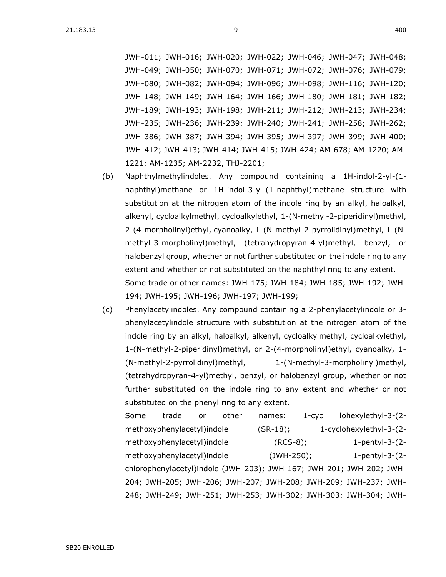JWH-011; JWH-016; JWH-020; JWH-022; JWH-046; JWH-047; JWH-048; JWH-049; JWH-050; JWH-070; JWH-071; JWH-072; JWH-076; JWH-079; JWH-080; JWH-082; JWH-094; JWH-096; JWH-098; JWH-116; JWH-120; JWH-148; JWH-149; JWH-164; JWH-166; JWH-180; JWH-181; JWH-182; JWH-189; JWH-193; JWH-198; JWH-211; JWH-212; JWH-213; JWH-234; JWH-235; JWH-236; JWH-239; JWH-240; JWH-241; JWH-258; JWH-262; JWH-386; JWH-387; JWH-394; JWH-395; JWH-397; JWH-399; JWH-400; JWH-412; JWH-413; JWH-414; JWH-415; JWH-424; AM-678; AM-1220; AM-1221; AM-1235; AM-2232, THJ-2201;

- (b) Naphthylmethylindoles. Any compound containing a 1H-indol-2-yl-(1 naphthyl)methane or 1H-indol-3-yl-(1-naphthyl)methane structure with substitution at the nitrogen atom of the indole ring by an alkyl, haloalkyl, alkenyl, cycloalkylmethyl, cycloalkylethyl, 1-(N-methyl-2-piperidinyl)methyl, 2-(4-morpholinyl)ethyl, cyanoalky, 1-(N-methyl-2-pyrrolidinyl)methyl, 1-(Nmethyl-3-morpholinyl)methyl, (tetrahydropyran-4-yl)methyl, benzyl, or halobenzyl group, whether or not further substituted on the indole ring to any extent and whether or not substituted on the naphthyl ring to any extent. Some trade or other names: JWH-175; JWH-184; JWH-185; JWH-192; JWH-194; JWH-195; JWH-196; JWH-197; JWH-199;
- (c) Phenylacetylindoles. Any compound containing a 2-phenylacetylindole or 3 phenylacetylindole structure with substitution at the nitrogen atom of the indole ring by an alkyl, haloalkyl, alkenyl, cycloalkylmethyl, cycloalkylethyl, 1-(N-methyl-2-piperidinyl)methyl, or 2-(4-morpholinyl)ethyl, cyanoalky, 1- (N-methyl-2-pyrrolidinyl)methyl, 1-(N-methyl-3-morpholinyl)methyl, (tetrahydropyran-4-yl)methyl, benzyl, or halobenzyl group, whether or not further substituted on the indole ring to any extent and whether or not substituted on the phenyl ring to any extent.

Some trade or other names: 1-cyc lohexylethyl-3-(2 methoxyphenylacetyl)indole (SR-18); 1-cyclohexylethyl-3-(2 methoxyphenylacetyl)indole (RCS-8); 1-pentyl-3-(2methoxyphenylacetyl)indole (JWH-250); 1-pentyl-3-(2chlorophenylacetyl)indole (JWH-203); JWH-167; JWH-201; JWH-202; JWH-204; JWH-205; JWH-206; JWH-207; JWH-208; JWH-209; JWH-237; JWH-248; JWH-249; JWH-251; JWH-253; JWH-302; JWH-303; JWH-304; JWH-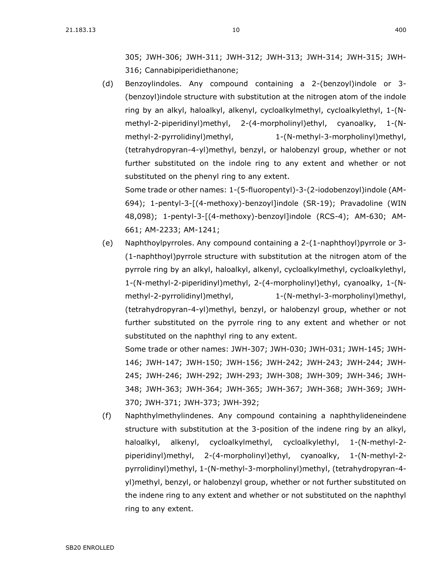305; JWH-306; JWH-311; JWH-312; JWH-313; JWH-314; JWH-315; JWH-316; Cannabipiperidiethanone;

(d) Benzoylindoles. Any compound containing a 2-(benzoyl)indole or 3- (benzoyl)indole structure with substitution at the nitrogen atom of the indole ring by an alkyl, haloalkyl, alkenyl, cycloalkylmethyl, cycloalkylethyl, 1-(Nmethyl-2-piperidinyl)methyl, 2-(4-morpholinyl)ethyl, cyanoalky, 1-(Nmethyl-2-pyrrolidinyl)methyl, 1-(N-methyl-3-morpholinyl)methyl, (tetrahydropyran-4-yl)methyl, benzyl, or halobenzyl group, whether or not further substituted on the indole ring to any extent and whether or not substituted on the phenyl ring to any extent. Some trade or other names: 1-(5-fluoropentyl)-3-(2-iodobenzoyl)indole (AM-

694); 1-pentyl-3-[(4-methoxy)-benzoyl]indole (SR-19); Pravadoline (WIN 48,098); 1-pentyl-3-[(4-methoxy)-benzoyl]indole (RCS-4); AM-630; AM-661; AM-2233; AM-1241;

(e) Naphthoylpyrroles. Any compound containing a 2-(1-naphthoyl)pyrrole or 3- (1-naphthoyl)pyrrole structure with substitution at the nitrogen atom of the pyrrole ring by an alkyl, haloalkyl, alkenyl, cycloalkylmethyl, cycloalkylethyl, 1-(N-methyl-2-piperidinyl)methyl, 2-(4-morpholinyl)ethyl, cyanoalky, 1-(Nmethyl-2-pyrrolidinyl)methyl, 1-(N-methyl-3-morpholinyl)methyl, (tetrahydropyran-4-yl)methyl, benzyl, or halobenzyl group, whether or not further substituted on the pyrrole ring to any extent and whether or not substituted on the naphthyl ring to any extent.

Some trade or other names: JWH-307; JWH-030; JWH-031; JWH-145; JWH-146; JWH-147; JWH-150; JWH-156; JWH-242; JWH-243; JWH-244; JWH-245; JWH-246; JWH-292; JWH-293; JWH-308; JWH-309; JWH-346; JWH-348; JWH-363; JWH-364; JWH-365; JWH-367; JWH-368; JWH-369; JWH-370; JWH-371; JWH-373; JWH-392;

(f) Naphthylmethylindenes. Any compound containing a naphthylideneindene structure with substitution at the 3-position of the indene ring by an alkyl, haloalkyl, alkenyl, cycloalkylmethyl, cycloalkylethyl, 1-(N-methyl-2 piperidinyl)methyl, 2-(4-morpholinyl)ethyl, cyanoalky, 1-(N-methyl-2 pyrrolidinyl)methyl, 1-(N-methyl-3-morpholinyl)methyl, (tetrahydropyran-4 yl)methyl, benzyl, or halobenzyl group, whether or not further substituted on the indene ring to any extent and whether or not substituted on the naphthyl ring to any extent.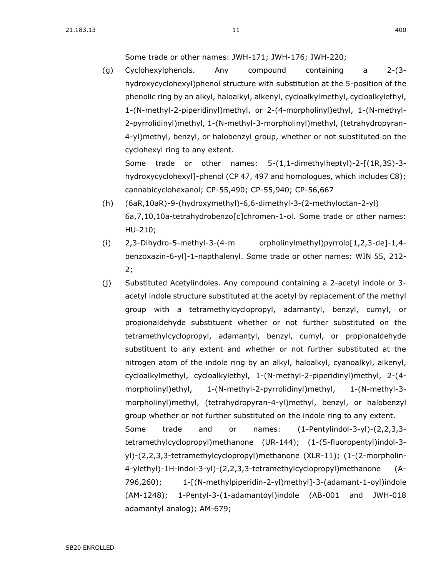Some trade or other names: JWH-171; JWH-176; JWH-220;

(g) Cyclohexylphenols. Any compound containing a 2-(3 hydroxycyclohexyl)phenol structure with substitution at the 5-position of the phenolic ring by an alkyl, haloalkyl, alkenyl, cycloalkylmethyl, cycloalkylethyl, 1-(N-methyl-2-piperidinyl)methyl, or 2-(4-morpholinyl)ethyl, 1-(N-methyl-2-pyrrolidinyl)methyl, 1-(N-methyl-3-morpholinyl)methyl, (tetrahydropyran-4-yl)methyl, benzyl, or halobenzyl group, whether or not substituted on the cyclohexyl ring to any extent. Some trade or other names: 5-(1,1-dimethylheptyl)-2-[(1R,3S)-3-

hydroxycyclohexyl]-phenol (CP 47, 497 and homologues, which includes C8); cannabicyclohexanol; CP-55,490; CP-55,940; CP-56,667

- (h) (6aR,10aR)-9-(hydroxymethyl)-6,6-dimethyl-3-(2-methyloctan-2-yl) 6a,7,10,10a-tetrahydrobenzo[c]chromen-1-ol. Some trade or other names: HU-210;
- (i) 2,3-Dihydro-5-methyl-3-(4-m orpholinylmethyl)pyrrolo[1,2,3-de]-1,4 benzoxazin-6-yl]-1-napthalenyl. Some trade or other names: WIN 55, [212-](https://sdlegislature.gov/Statutes/Codified_Laws/DisplayStatute.aspx?Type=Statute&Statute=12-2) [2;](https://sdlegislature.gov/Statutes/Codified_Laws/DisplayStatute.aspx?Type=Statute&Statute=12-2)
- (j) Substituted Acetylindoles. Any compound containing a 2-acetyl indole or 3 acetyl indole structure substituted at the acetyl by replacement of the methyl group with a tetramethylcyclopropyl, adamantyl, benzyl, cumyl, or propionaldehyde substituent whether or not further substituted on the tetramethylcyclopropyl, adamantyl, benzyl, cumyl, or propionaldehyde substituent to any extent and whether or not further substituted at the nitrogen atom of the indole ring by an alkyl, haloalkyl, cyanoalkyl, alkenyl, cycloalkylmethyl, cycloalkylethyl, 1-(N-methyl-2-piperidinyl)methyl, 2-(4 morpholinyl)ethyl, 1-(N-methyl-2-pyrrolidinyl)methyl, 1-(N-methyl-3 morpholinyl)methyl, (tetrahydropyran-4-yl)methyl, benzyl, or halobenzyl group whether or not further substituted on the indole ring to any extent. Some trade and or names: (1-Pentylindol-3-yl)-(2,2,3,3 tetramethylcyclopropyl)methanone (UR-144); (1-(5-fluoropentyl)indol-3 yl)-(2,2,3,3-tetramethylcyclopropyl)methanone (XLR-11); (1-(2-morpholin-4-ylethyl)-1H-indol-3-yl)-(2,2,3,3-tetramethylcyclopropyl)methanone (A-796,260); 1-[(N-methylpiperidin-2-yl)methyl]-3-(adamant-1-oyl)indole (AM-1248); 1-Pentyl-3-(1-adamantoyl)indole (AB-001 and JWH-018 adamantyl analog); AM-679;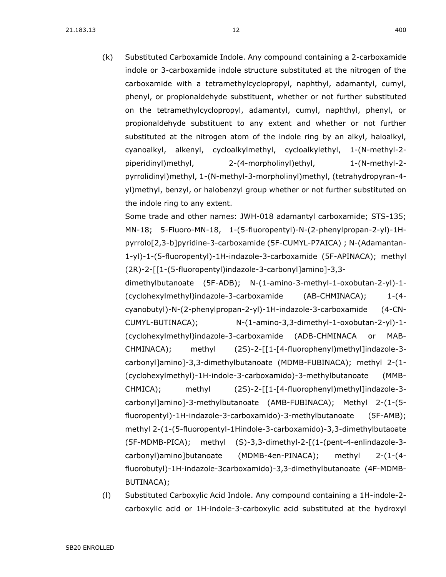(k) Substituted Carboxamide Indole. Any compound containing a 2-carboxamide indole or 3-carboxamide indole structure substituted at the nitrogen of the carboxamide with a tetramethylcyclopropyl, naphthyl, adamantyl, cumyl, phenyl, or propionaldehyde substituent, whether or not further substituted on the tetramethylcyclopropyl, adamantyl, cumyl, naphthyl, phenyl, or propionaldehyde substituent to any extent and whether or not further substituted at the nitrogen atom of the indole ring by an alkyl, haloalkyl, cyanoalkyl, alkenyl, cycloalkylmethyl, cycloalkylethyl, 1-(N-methyl-2 piperidinyl)methyl, 2-(4-morpholinyl)ethyl, 1-(N-methyl-2 pyrrolidinyl)methyl, 1-(N-methyl-3-morpholinyl)methyl, (tetrahydropyran-4 yl)methyl, benzyl, or halobenzyl group whether or not further substituted on the indole ring to any extent.

Some trade and other names: JWH-018 adamantyl carboxamide; STS-135; MN-18; 5-Fluoro-MN-18, 1-(5-fluoropentyl)-N-(2-phenylpropan-2-yl)-1Hpyrrolo[2,3-b]pyridine-3-carboxamide (5F-CUMYL-P7AICA) ; N-(Adamantan-1-yl)-1-(5-fluoropentyl)-1H-indazole-3-carboxamide (5F-APINACA); methyl (2R)-2-[[1-(5-fluoropentyl)indazole-3-carbonyl]amino]-3,3-

dimethylbutanoate (5F-ADB); N-(1-amino-3-methyl-1-oxobutan-2-yl)-1- (cyclohexylmethyl)indazole-3-carboxamide (AB-CHMINACA); 1-(4 cyanobutyl)-N-(2-phenylpropan-2-yl)-1H-indazole-3-carboxamide (4-CN-CUMYL-BUTINACA); N-(1-amino-3,3-dimethyl-1-oxobutan-2-yl)-1- (cyclohexylmethyl)indazole-3-carboxamide (ADB-CHMINACA or MAB-CHMINACA); methyl (2S)-2-[[1-[4-fluorophenyl)methyl]indazole-3 carbonyl]amino]-3,3-dimethylbutanoate (MDMB-FUBINACA); methyl 2-(1- (cyclohexylmethyl)-1H-indole-3-carboxamido)-3-methylbutanoate (MMB-CHMICA); methyl (2S)-2-[[1-[4-fluorophenyl)methyl]indazole-3 carbonyl]amino]-3-methylbutanoate (AMB-FUBINACA); Methyl 2-(1-(5 fluoropentyl)-1H-indazole-3-carboxamido)-3-methylbutanoate (5F-AMB); methyl 2-(1-(5-fluoropentyl-1Hindole-3-carboxamido)-3,3-dimethylbutaoate (5F-MDMB-PICA); methyl (S)-3,3-dimethyl-2-[(1-(pent-4-enlindazole-3 carbonyl)amino]butanoate (MDMB-4en-PINACA); methyl 2-(1-(4 fluorobutyl)-1H-indazole-3carboxamido)-3,3-dimethylbutanoate (4F-MDMB-BUTINACA);

(l) Substituted Carboxylic Acid Indole. Any compound containing a 1H-indole-2 carboxylic acid or 1H-indole-3-carboxylic acid substituted at the hydroxyl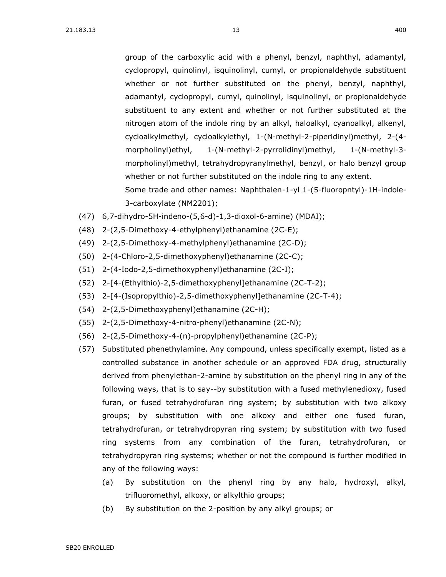group of the carboxylic acid with a phenyl, benzyl, naphthyl, adamantyl, cyclopropyl, quinolinyl, isquinolinyl, cumyl, or propionaldehyde substituent whether or not further substituted on the phenyl, benzyl, naphthyl, adamantyl, cyclopropyl, cumyl, quinolinyl, isquinolinyl, or propionaldehyde substituent to any extent and whether or not further substituted at the nitrogen atom of the indole ring by an alkyl, haloalkyl, cyanoalkyl, alkenyl, cycloalkylmethyl, cycloalkylethyl, 1-(N-methyl-2-piperidinyl)methyl, 2-(4 morpholinyl)ethyl, 1-(N-methyl-2-pyrrolidinyl)methyl, 1-(N-methyl-3 morpholinyl)methyl, tetrahydropyranylmethyl, benzyl, or halo benzyl group whether or not further substituted on the indole ring to any extent. Some trade and other names: Naphthalen-1-yl 1-(5-fluoropntyl)-1H-indole-3-carboxylate (NM2201);

- (47) 6,7-dihydro-5H-indeno-(5,6-d)-1,3-dioxol-6-amine) (MDAI);
- (48) 2-(2,5-Dimethoxy-4-ethylphenyl)ethanamine (2C-E);
- (49) 2-(2,5-Dimethoxy-4-methylphenyl)ethanamine (2C-D);
- (50) 2-(4-Chloro-2,5-dimethoxyphenyl)ethanamine (2C-C);
- (51) 2-(4-Iodo-2,5-dimethoxyphenyl)ethanamine (2C-I);
- (52) 2-[4-(Ethylthio)-2,5-dimethoxyphenyl]ethanamine (2C-T-2);
- (53) 2-[4-(Isopropylthio)-2,5-dimethoxyphenyl]ethanamine (2C-T-4);
- (54) 2-(2,5-Dimethoxyphenyl)ethanamine (2C-H);
- (55) 2-(2,5-Dimethoxy-4-nitro-phenyl)ethanamine (2C-N);
- (56) 2-(2,5-Dimethoxy-4-(n)-propylphenyl)ethanamine (2C-P);
- (57) Substituted phenethylamine. Any compound, unless specifically exempt, listed as a controlled substance in another schedule or an approved FDA drug, structurally derived from phenylethan-2-amine by substitution on the phenyl ring in any of the following ways, that is to say--by substitution with a fused methylenedioxy, fused furan, or fused tetrahydrofuran ring system; by substitution with two alkoxy groups; by substitution with one alkoxy and either one fused furan, tetrahydrofuran, or tetrahydropyran ring system; by substitution with two fused ring systems from any combination of the furan, tetrahydrofuran, or tetrahydropyran ring systems; whether or not the compound is further modified in any of the following ways:
	- (a) By substitution on the phenyl ring by any halo, hydroxyl, alkyl, trifluoromethyl, alkoxy, or alkylthio groups;
	- (b) By substitution on the 2-position by any alkyl groups; or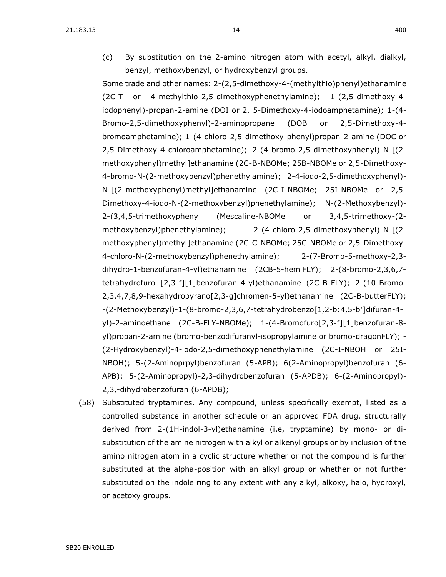(c) By substitution on the 2-amino nitrogen atom with acetyl, alkyl, dialkyl, benzyl, methoxybenzyl, or hydroxybenzyl groups.

Some trade and other names: 2-(2,5-dimethoxy-4-(methylthio)phenyl)ethanamine (2C-T or 4-methylthio-2,5-dimethoxyphenethylamine); 1-(2,5-dimethoxy-4 iodophenyl)-propan-2-amine (DOI or 2, 5-Dimethoxy-4-iodoamphetamine); 1-(4- Bromo-2,5-dimethoxyphenyl)-2-aminopropane (DOB or 2,5-Dimethoxy-4 bromoamphetamine); 1-(4-chloro-2,5-dimethoxy-phenyl)propan-2-amine (DOC or 2,5-Dimethoxy-4-chloroamphetamine); 2-(4-bromo-2,5-dimethoxyphenyl)-N-[(2 methoxyphenyl)methyl]ethanamine (2C-B-NBOMe; 25B-NBOMe or 2,5-Dimethoxy-4-bromo-N-(2-methoxybenzyl)phenethylamine); 2-4-iodo-2,5-dimethoxyphenyl)- N-[(2-methoxyphenyl)methyl]ethanamine (2C-I-NBOMe; 25I-NBOMe or 2,5- Dimethoxy-4-iodo-N-(2-methoxybenzyl)phenethylamine); N-(2-Methoxybenzyl)- 2-(3,4,5-trimethoxypheny (Mescaline-NBOMe or 3,4,5-trimethoxy-(2 methoxybenzyl)phenethylamine); 2-(4-chloro-2,5-dimethoxyphenyl)-N-[(2 methoxyphenyl)methyl]ethanamine (2C-C-NBOMe; 25C-NBOMe or 2,5-Dimethoxy-4-chloro-N-(2-methoxybenzyl)phenethylamine); 2-(7-Bromo-5-methoxy-2,3 dihydro-1-benzofuran-4-yl)ethanamine (2CB-5-hemiFLY); 2-(8-bromo-2,3,6,7 tetrahydrofuro [2,3-f][1]benzofuran-4-yl)ethanamine (2C-B-FLY); 2-(10-Bromo-2,3,4,7,8,9-hexahydropyrano[2,3-g]chromen-5-yl)ethanamine (2C-B-butterFLY); -(2-Methoxybenzyl)-1-(8-bromo-2,3,6,7-tetrahydrobenzo[1,2-b:4,5-b']difuran-4yl)-2-aminoethane (2C-B-FLY-NBOMe); 1-(4-Bromofuro[2,3-f][1]benzofuran-8 yl)propan-2-amine (bromo-benzodifuranyl-isopropylamine or bromo-dragonFLY); - (2-Hydroxybenzyl)-4-iodo-2,5-dimethoxyphenethylamine (2C-I-NBOH or 25I-NBOH); 5-(2-Aminoprpyl)benzofuran (5-APB); 6(2-Aminopropyl)benzofuran (6- APB); 5-(2-Aminopropyl)-2,3-dihydrobenzofuran (5-APDB); 6-(2-Aminopropyl)- 2,3,-dihydrobenzofuran (6-APDB);

(58) Substituted tryptamines. Any compound, unless specifically exempt, listed as a controlled substance in another schedule or an approved FDA drug, structurally derived from 2-(1H-indol-3-yl)ethanamine (i.e, tryptamine) by mono- or disubstitution of the amine nitrogen with alkyl or alkenyl groups or by inclusion of the amino nitrogen atom in a cyclic structure whether or not the compound is further substituted at the alpha-position with an alkyl group or whether or not further substituted on the indole ring to any extent with any alkyl, alkoxy, halo, hydroxyl, or acetoxy groups.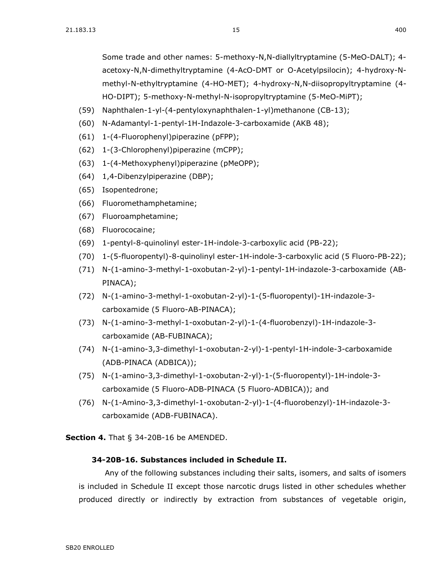Some trade and other names: 5-methoxy-N,N-diallyltryptamine (5-MeO-DALT); 4 acetoxy-N,N-dimethyltryptamine (4-AcO-DMT or O-Acetylpsilocin); 4-hydroxy-Nmethyl-N-ethyltryptamine (4-HO-MET); 4-hydroxy-N,N-diisopropyltryptamine (4- HO-DIPT); 5-methoxy-N-methyl-N-isopropyltryptamine (5-MeO-MiPT);

- (59) Naphthalen-1-yl-(4-pentyloxynaphthalen-1-yl)methanone (CB-13);
- (60) N-Adamantyl-1-pentyl-1H-Indazole-3-carboxamide (AKB 48);
- (61) 1-(4-Fluorophenyl)piperazine (pFPP);
- (62) 1-(3-Chlorophenyl)piperazine (mCPP);
- (63) 1-(4-Methoxyphenyl)piperazine (pMeOPP);
- (64) 1,4-Dibenzylpiperazine (DBP);
- (65) Isopentedrone;
- (66) Fluoromethamphetamine;
- (67) Fluoroamphetamine;
- (68) Fluorococaine;
- (69) 1-pentyl-8-quinolinyl ester-1H-indole-3-carboxylic acid (PB-22);
- (70) 1-(5-fluoropentyl)-8-quinolinyl ester-1H-indole-3-carboxylic acid (5 Fluoro-PB-22);
- (71) N-(1-amino-3-methyl-1-oxobutan-2-yl)-1-pentyl-1H-indazole-3-carboxamide (AB-PINACA);
- (72) N-(1-amino-3-methyl-1-oxobutan-2-yl)-1-(5-fluoropentyl)-1H-indazole-3 carboxamide (5 Fluoro-AB-PINACA);
- (73) N-(1-amino-3-methyl-1-oxobutan-2-yl)-1-(4-fluorobenzyl)-1H-indazole-3 carboxamide (AB-FUBINACA);
- (74) N-(1-amino-3,3-dimethyl-1-oxobutan-2-yl)-1-pentyl-1H-indole-3-carboxamide (ADB-PINACA (ADBICA));
- (75) N-(1-amino-3,3-dimethyl-1-oxobutan-2-yl)-1-(5-fluoropentyl)-1H-indole-3 carboxamide (5 Fluoro-ADB-PINACA (5 Fluoro-ADBICA)); and
- (76) N-(1-Amino-3,3-dimethyl-1-oxobutan-2-yl)-1-(4-fluorobenzyl)-1H-indazole-3 carboxamide (ADB-FUBINACA).

**Section 4.** [That § 34-20B-16 be AMENDED.](https://sdlegislature.gov/Statutes/Codified_Laws/DisplayStatute.aspx?Type=Statute&Statute=34-20B-16)

#### **[34-20B-16. S](https://sdlegislature.gov/Statutes/Codified_Laws/DisplayStatute.aspx?Type=Statute&Statute=34-20B-16)ubstances included in Schedule II.**

Any of the following substances including their salts, isomers, and salts of isomers is included in Schedule II except those narcotic drugs listed in other schedules whether produced directly or indirectly by extraction from substances of vegetable origin,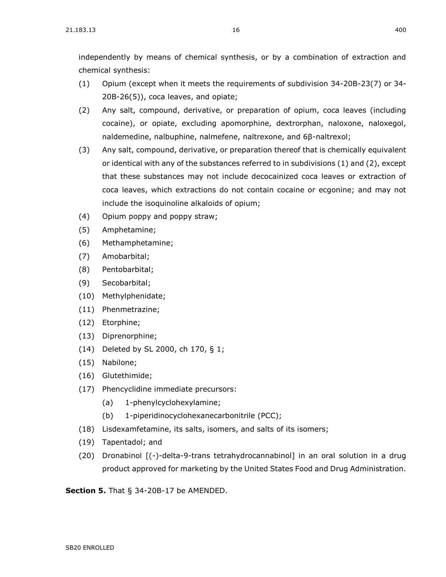independently by means of chemical synthesis, or by a combination of extraction and chemical synthesis:

- (1) Opium (except when it meets the requirements of subdivision [34-20B-23\(](https://sdlegislature.gov/Statutes/Codified_Laws/DisplayStatute.aspx?Type=Statute&Statute=34-20B-23)7) or [34-](https://sdlegislature.gov/Statutes/Codified_Laws/DisplayStatute.aspx?Type=Statute&Statute=34-20B-26) [20B-26\(](https://sdlegislature.gov/Statutes/Codified_Laws/DisplayStatute.aspx?Type=Statute&Statute=34-20B-26)5)), coca leaves, and opiate;
- (2) Any salt, compound, derivative, or preparation of opium, coca leaves (including cocaine), or opiate, excluding apomorphine, dextrorphan, naloxone, naloxegol, naldemedine, nalbuphine, nalmefene, naltrexone, and 6β-naltrexol;
- (3) Any salt, compound, derivative, or preparation thereof that is chemically equivalent or identical with any of the substances referred to in subdivisions (1) and (2), except that these substances may not include decocainized coca leaves or extraction of coca leaves, which extractions do not contain cocaine or ecgonine; and may not include the isoquinoline alkaloids of opium;
- (4) Opium poppy and poppy straw;
- (5) Amphetamine;
- (6) Methamphetamine;
- (7) Amobarbital;
- (8) Pentobarbital;
- (9) Secobarbital;
- (10) Methylphenidate;
- (11) Phenmetrazine;
- (12) Etorphine;
- (13) Diprenorphine;
- (14) Deleted by SL 2000, ch 170, § 1;
- (15) Nabilone;
- (16) Glutethimide;
- (17) Phencyclidine immediate precursors:
	- (a) 1-phenylcyclohexylamine;
	- (b) 1-piperidinocyclohexanecarbonitrile (PCC);
- (18) Lisdexamfetamine, its salts, isomers, and salts of its isomers;
- (19) Tapentadol; and
- (20) Dronabinol [(-)-delta-9-trans tetrahydrocannabinol] in an oral solution in a drug product approved for marketing by the United States Food and Drug Administration.

**Section 5.** [That § 34-20B-17 be AMENDED.](https://sdlegislature.gov/Statutes/Codified_Laws/DisplayStatute.aspx?Type=Statute&Statute=34-20B-17)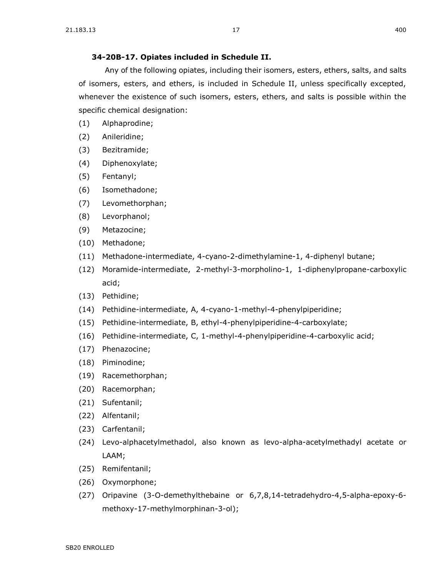#### **[34-20B-17. O](https://sdlegislature.gov/Statutes/Codified_Laws/DisplayStatute.aspx?Type=Statute&Statute=34-20B-17)piates included in Schedule II.**

Any of the following opiates, including their isomers, esters, ethers, salts, and salts of isomers, esters, and ethers, is included in Schedule II, unless specifically excepted, whenever the existence of such isomers, esters, ethers, and salts is possible within the specific chemical designation:

- (1) Alphaprodine;
- (2) Anileridine;
- (3) Bezitramide;
- (4) Diphenoxylate;
- (5) Fentanyl;
- (6) Isomethadone;
- (7) Levomethorphan;
- (8) Levorphanol;
- (9) Metazocine;
- (10) Methadone;
- (11) Methadone-intermediate, 4-cyano-2-dimethylamine-1, 4-diphenyl butane;
- (12) Moramide-intermediate, 2-methyl-3-morpholino-1, 1-diphenylpropane-carboxylic acid;
- (13) Pethidine;
- (14) Pethidine-intermediate, A, 4-cyano-1-methyl-4-phenylpiperidine;
- (15) Pethidine-intermediate, B, ethyl-4-phenylpiperidine-4-carboxylate;
- (16) Pethidine-intermediate, C, 1-methyl-4-phenylpiperidine-4-carboxylic acid;
- (17) Phenazocine;
- (18) Piminodine;
- (19) Racemethorphan;
- (20) Racemorphan;
- (21) Sufentanil;
- (22) Alfentanil;
- (23) Carfentanil;
- (24) Levo-alphacetylmethadol, also known as levo-alpha-acetylmethadyl acetate or LAAM;
- (25) Remifentanil;
- (26) Oxymorphone;
- (27) Oripavine (3-O-demethylthebaine or 6,7,8,14-tetradehydro-4,5-alpha-epoxy-6 methoxy-17-methylmorphinan-3-ol);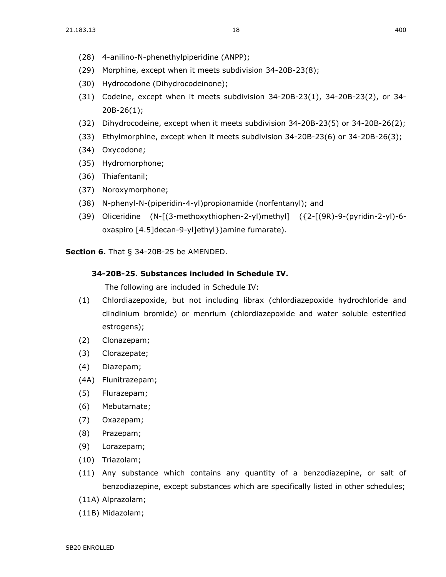- (28) 4-anilino-N-phenethylpiperidine (ANPP);
- (29) Morphine, except when it meets subdivision [34-20B-23\(](https://sdlegislature.gov/Statutes/Codified_Laws/DisplayStatute.aspx?Type=Statute&Statute=34-20B-23)8);
- (30) Hydrocodone (Dihydrocodeinone);
- (31) Codeine, except when it meets subdivision [34-20B-23\(](https://sdlegislature.gov/Statutes/Codified_Laws/DisplayStatute.aspx?Type=Statute&Statute=34-20B-23)1), [34-20B-23\(](https://sdlegislature.gov/Statutes/Codified_Laws/DisplayStatute.aspx?Type=Statute&Statute=34-20B-23)2), or [34-](https://sdlegislature.gov/Statutes/Codified_Laws/DisplayStatute.aspx?Type=Statute&Statute=34-20B-26) [20B-26\(](https://sdlegislature.gov/Statutes/Codified_Laws/DisplayStatute.aspx?Type=Statute&Statute=34-20B-26)1);
- (32) Dihydrocodeine, except when it meets subdivision [34-20B-23\(](https://sdlegislature.gov/Statutes/Codified_Laws/DisplayStatute.aspx?Type=Statute&Statute=34-20B-23)5) or [34-20B-26\(](https://sdlegislature.gov/Statutes/Codified_Laws/DisplayStatute.aspx?Type=Statute&Statute=34-20B-26)2);
- (33) Ethylmorphine, except when it meets subdivision [34-20B-23\(](https://sdlegislature.gov/Statutes/Codified_Laws/DisplayStatute.aspx?Type=Statute&Statute=34-20B-23)6) or [34-20B-26\(](https://sdlegislature.gov/Statutes/Codified_Laws/DisplayStatute.aspx?Type=Statute&Statute=34-20B-26)3);
- (34) Oxycodone;
- (35) Hydromorphone;
- (36) Thiafentanil;
- (37) Noroxymorphone;
- (38) N-phenyl-N-(piperidin-4-yl)propionamide (norfentanyl); and
- (39) Oliceridine (N-[(3-methoxythiophen-2-yl)methyl] ({2-[(9R)-9-(pyridin-2-yl)-6 oxaspiro [4.5]decan-9-yl]ethyl})amine fumarate).

**Section 6.** [That § 34-20B-25 be AMENDED.](https://sdlegislature.gov/Statutes/Codified_Laws/DisplayStatute.aspx?Type=Statute&Statute=34-20B-25)

#### **[34-20B-25. S](https://sdlegislature.gov/Statutes/Codified_Laws/DisplayStatute.aspx?Type=Statute&Statute=34-20B-25)ubstances included in Schedule IV.**

The following are included in Schedule IV:

- (1) Chlordiazepoxide, but not including librax (chlordiazepoxide hydrochloride and clindinium bromide) or menrium (chlordiazepoxide and water soluble esterified estrogens);
- (2) Clonazepam;
- (3) Clorazepate;
- (4) Diazepam;
- (4A) Flunitrazepam;
- (5) Flurazepam;
- (6) Mebutamate;
- (7) Oxazepam;
- (8) Prazepam;
- (9) Lorazepam;
- (10) Triazolam;
- (11) Any substance which contains any quantity of a benzodiazepine, or salt of benzodiazepine, except substances which are specifically listed in other schedules;
- (11A) Alprazolam;
- (11B) Midazolam;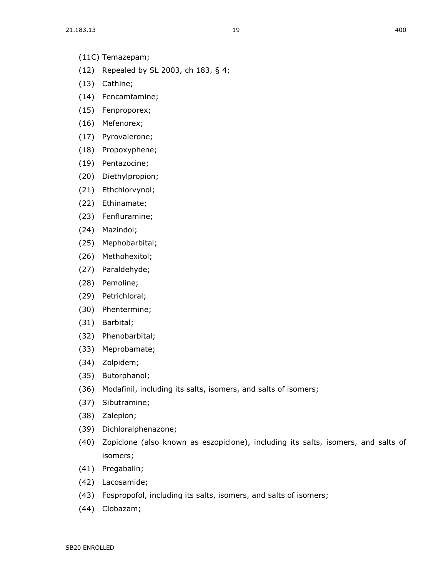- (11C) Temazepam;
- (12) Repealed by SL 2003, ch 183, § 4;
- (13) Cathine;
- (14) Fencamfamine;
- (15) Fenproporex;
- (16) Mefenorex;
- (17) Pyrovalerone;
- (18) Propoxyphene;
- (19) Pentazocine;
- (20) Diethylpropion;
- (21) Ethchlorvynol;
- (22) Ethinamate;
- (23) Fenfluramine;
- (24) Mazindol;
- (25) Mephobarbital;
- (26) Methohexitol;
- (27) Paraldehyde;
- (28) Pemoline;
- (29) Petrichloral;
- (30) Phentermine;
- (31) Barbital;
- (32) Phenobarbital;
- (33) Meprobamate;
- (34) Zolpidem;
- (35) Butorphanol;
- (36) Modafinil, including its salts, isomers, and salts of isomers;
- (37) Sibutramine;
- (38) Zaleplon;
- (39) Dichloralphenazone;
- (40) Zopiclone (also known as eszopiclone), including its salts, isomers, and salts of isomers;
- (41) Pregabalin;
- (42) Lacosamide;
- (43) Fospropofol, including its salts, isomers, and salts of isomers;
- (44) Clobazam;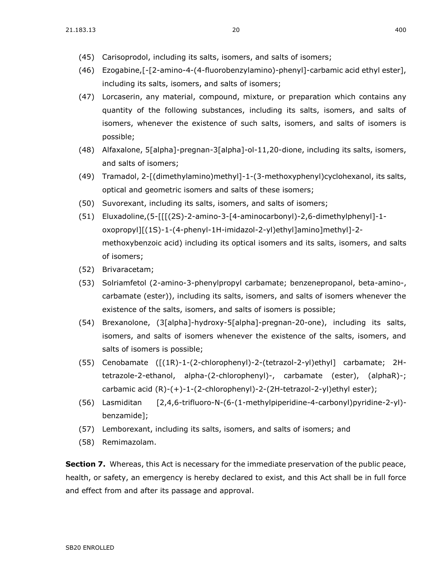- (45) Carisoprodol, including its salts, isomers, and salts of isomers;
- (46) Ezogabine,[-[2-amino-4-(4-fluorobenzylamino)-phenyl]-carbamic acid ethyl ester], including its salts, isomers, and salts of isomers;
- (47) Lorcaserin, any material, compound, mixture, or preparation which contains any quantity of the following substances, including its salts, isomers, and salts of isomers, whenever the existence of such salts, isomers, and salts of isomers is possible;
- (48) Alfaxalone, 5[alpha]-pregnan-3[alpha]-ol-11,20-dione, including its salts, isomers, and salts of isomers;
- (49) Tramadol, 2-[(dimethylamino)methyl]-1-(3-methoxyphenyl)cyclohexanol, its salts, optical and geometric isomers and salts of these isomers;
- (50) Suvorexant, including its salts, isomers, and salts of isomers;
- (51) Eluxadoline,(5-[[[(2S)-2-amino-3-[4-aminocarbonyl)-2,6-dimethylphenyl]-1 oxopropyl][(1S)-1-(4-phenyl-1H-imidazol-2-yl)ethyl]amino]methyl]-2 methoxybenzoic acid) including its optical isomers and its salts, isomers, and salts of isomers;
- (52) Brivaracetam;
- (53) Solriamfetol (2-amino-3-phenylpropyl carbamate; benzenepropanol, beta-amino-, carbamate (ester)), including its salts, isomers, and salts of isomers whenever the existence of the salts, isomers, and salts of isomers is possible;
- (54) Brexanolone, (3[alpha]-hydroxy-5[alpha]-pregnan-20-one), including its salts, isomers, and salts of isomers whenever the existence of the salts, isomers, and salts of isomers is possible;
- (55) Cenobamate ([(1R)-1-(2-chlorophenyl)-2-(tetrazol-2-yl)ethyl] carbamate; 2Htetrazole-2-ethanol, alpha-(2-chlorophenyl)-, carbamate (ester), (alphaR)-; carbamic acid (R)-(+)-1-(2-chlorophenyl)-2-(2H-tetrazol-2-yl)ethyl ester);
- (56) Lasmiditan [2,4,6-trifluoro-N-(6-(1-methylpiperidine-4-carbonyl)pyridine-2-yl) benzamide];
- (57) Lemborexant, including its salts, isomers, and salts of isomers; and
- (58) Remimazolam.

**Section 7.** Whereas, this Act is necessary for the immediate preservation of the public peace, health, or safety, an emergency is hereby declared to exist, and this Act shall be in full force and effect from and after its passage and approval.